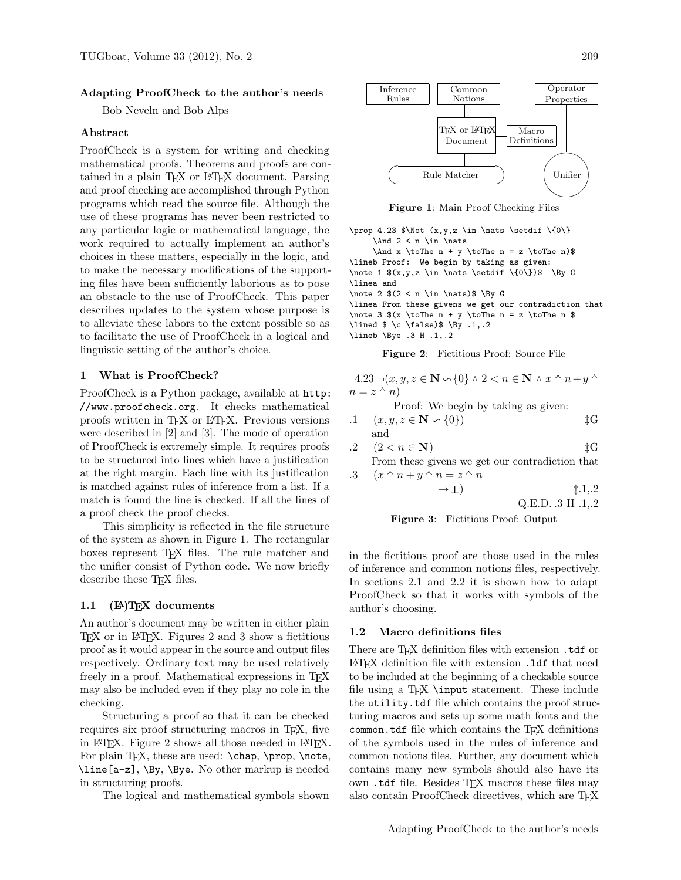#### Adapting ProofCheck to the author's needs

Bob Neveln and Bob Alps

#### Abstract

ProofCheck is a system for writing and checking mathematical proofs. Theorems and proofs are contained in a plain TEX or LATEX document. Parsing and proof checking are accomplished through Python programs which read the source file. Although the use of these programs has never been restricted to any particular logic or mathematical language, the work required to actually implement an author's choices in these matters, especially in the logic, and to make the necessary modifications of the supporting files have been sufficiently laborious as to pose an obstacle to the use of ProofCheck. This paper describes updates to the system whose purpose is to alleviate these labors to the extent possible so as to facilitate the use of ProofCheck in a logical and linguistic setting of the author's choice.

## 1 What is ProofCheck?

ProofCheck is a Python package, available at http: //www.proofcheck.org. It checks mathematical proofs written in TEX or LATEX. Previous versions were described in [2] and [3]. The mode of operation of ProofCheck is extremely simple. It requires proofs to be structured into lines which have a justification at the right margin. Each line with its justification is matched against rules of inference from a list. If a match is found the line is checked. If all the lines of a proof check the proof checks.

This simplicity is reflected in the file structure of the system as shown in Figure 1. The rectangular boxes represent TEX files. The rule matcher and the unifier consist of Python code. We now briefly describe these T<sub>E</sub>X files.

# 1.1 (P)TEX documents

An author's document may be written in either plain TEX or in LATEX. Figures 2 and 3 show a fictitious proof as it would appear in the source and output files respectively. Ordinary text may be used relatively freely in a proof. Mathematical expressions in TEX may also be included even if they play no role in the checking.

Structuring a proof so that it can be checked requires six proof structuring macros in T<sub>EX</sub>, five in LATEX. Figure 2 shows all those needed in LATEX. For plain T<sub>F</sub>X, these are used: \chap, \prop, \note, \line[a-z], \By, \Bye. No other markup is needed in structuring proofs.

The logical and mathematical symbols shown



Figure 1: Main Proof Checking Files

\prop 4.23 \$\Not (x,y,z \in \nats \setdif \{0\}  $\And 2 < n \in \n x$ \And x \toThe n + y \toThe n = z \toThe n)\$ \lineb Proof: We begin by taking as given: \note 1 \$(x,y,z \in \nats \setdif \{0\})\$ \By G \linea and \note 2 \$(2 < n \in \nats)\$ \By G \linea From these givens we get our contradiction that \note 3  $(x \to n + y \to n = z \to n$  \$ \lined  $\t$  \c \false)\$ \By .1,.2 \lineb \Bye .3 H .1,.2

Figure 2: Fictitious Proof: Source File

4.23  $\neg(x, y, z \in \mathbb{N} \setminus \{0\} \land 2 < n \in \mathbb{N} \land x \land n+y \land$  $n = z \wedge n$ 

Proof: We begin by taking as given:

- .1  $(x, y, z \in \mathbb{N} \setminus \{0\})$   $\sharp$ G and
- .2  $(2 < n \in \mathbb{N})$   $\downarrow$  G From these givens we get our contradiction that

.3 
$$
(x \wedge n + y \wedge n = z \wedge n
$$
  
\n $\rightarrow \bot$ ) \t\tq Q.E.D..3 H.1,2



in the fictitious proof are those used in the rules of inference and common notions files, respectively. In sections 2.1 and 2.2 it is shown how to adapt ProofCheck so that it works with symbols of the author's choosing.

#### 1.2 Macro definitions files

There are T<sub>E</sub>X definition files with extension .tdf or LATEX definition file with extension .ldf that need to be included at the beginning of a checkable source file using a T<sub>EX</sub> \input statement. These include the utility.tdf file which contains the proof structuring macros and sets up some math fonts and the common.tdf file which contains the T<sub>E</sub>X definitions of the symbols used in the rules of inference and common notions files. Further, any document which contains many new symbols should also have its own .tdf file. Besides TEX macros these files may also contain ProofCheck directives, which are TFX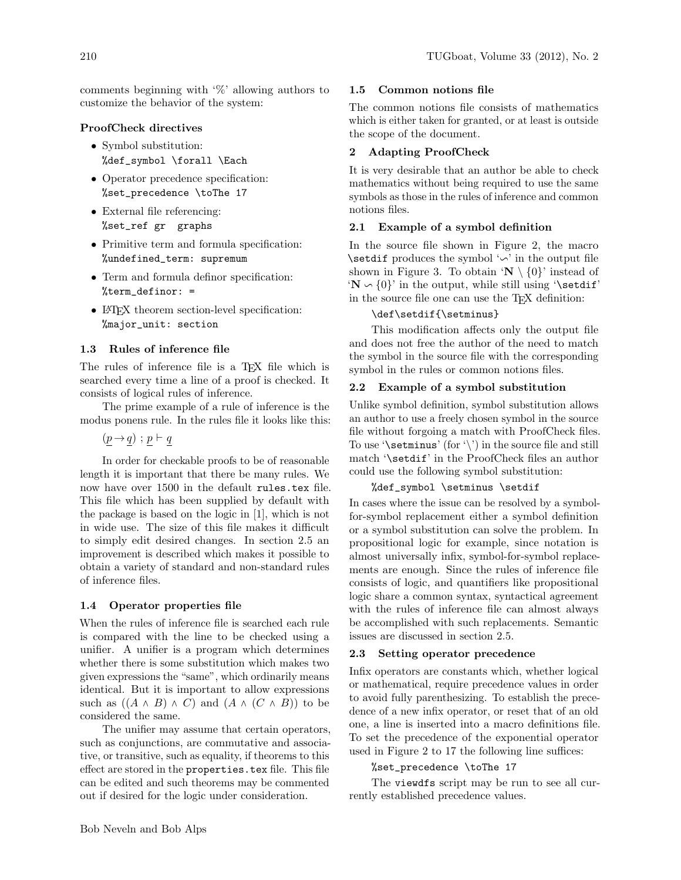comments beginning with '%' allowing authors to customize the behavior of the system:

## ProofCheck directives

- Symbol substitution: %def\_symbol \forall \Each
- Operator precedence specification: %set\_precedence \toThe 17
- External file referencing: %set\_ref gr graphs
- Primitive term and formula specification: %undefined\_term: supremum
- Term and formula definor specification: %term\_definor: =
- LAT<sub>EX</sub> theorem section-level specification: %major\_unit: section

#### 1.3 Rules of inference file

The rules of inference file is a TEX file which is searched every time a line of a proof is checked. It consists of logical rules of inference.

The prime example of a rule of inference is the modus ponens rule. In the rules file it looks like this:

 $(p \rightarrow q)$  ;  $p \vdash q$ 

In order for checkable proofs to be of reasonable length it is important that there be many rules. We now have over 1500 in the default rules.tex file. This file which has been supplied by default with the package is based on the logic in [1], which is not in wide use. The size of this file makes it difficult to simply edit desired changes. In section 2.5 an improvement is described which makes it possible to obtain a variety of standard and non-standard rules of inference files.

## 1.4 Operator properties file

When the rules of inference file is searched each rule is compared with the line to be checked using a unifier. A unifier is a program which determines whether there is some substitution which makes two given expressions the "same", which ordinarily means identical. But it is important to allow expressions such as  $((A \wedge B) \wedge C)$  and  $(A \wedge (C \wedge B))$  to be considered the same.

The unifier may assume that certain operators, such as conjunctions, are commutative and associative, or transitive, such as equality, if theorems to this effect are stored in the properties.tex file. This file can be edited and such theorems may be commented out if desired for the logic under consideration.

## 1.5 Common notions file

The common notions file consists of mathematics which is either taken for granted, or at least is outside the scope of the document.

## 2 Adapting ProofCheck

It is very desirable that an author be able to check mathematics without being required to use the same symbols as those in the rules of inference and common notions files.

## 2.1 Example of a symbol definition

In the source file shown in Figure 2, the macro \setdif produces the symbol  $\sim$  in the output file shown in Figure 3. To obtain ' $\mathbb{N} \setminus \{0\}$ ' instead of  $\mathbf{N} \setminus \{0\}$  in the output, while still using '\setdif' in the source file one can use the TEX definition:

## \def\setdif{\setminus}

This modification affects only the output file and does not free the author of the need to match the symbol in the source file with the corresponding symbol in the rules or common notions files.

## 2.2 Example of a symbol substitution

Unlike symbol definition, symbol substitution allows an author to use a freely chosen symbol in the source file without forgoing a match with ProofCheck files. To use '\setminus' (for '\') in the source file and still match '\setdif' in the ProofCheck files an author could use the following symbol substitution:

# %def\_symbol \setminus \setdif

In cases where the issue can be resolved by a symbolfor-symbol replacement either a symbol definition or a symbol substitution can solve the problem. In propositional logic for example, since notation is almost universally infix, symbol-for-symbol replacements are enough. Since the rules of inference file consists of logic, and quantifiers like propositional logic share a common syntax, syntactical agreement with the rules of inference file can almost always be accomplished with such replacements. Semantic issues are discussed in section 2.5.

## 2.3 Setting operator precedence

Infix operators are constants which, whether logical or mathematical, require precedence values in order to avoid fully parenthesizing. To establish the precedence of a new infix operator, or reset that of an old one, a line is inserted into a macro definitions file. To set the precedence of the exponential operator used in Figure 2 to 17 the following line suffices:

#### %set\_precedence \toThe 17

The viewdfs script may be run to see all currently established precedence values.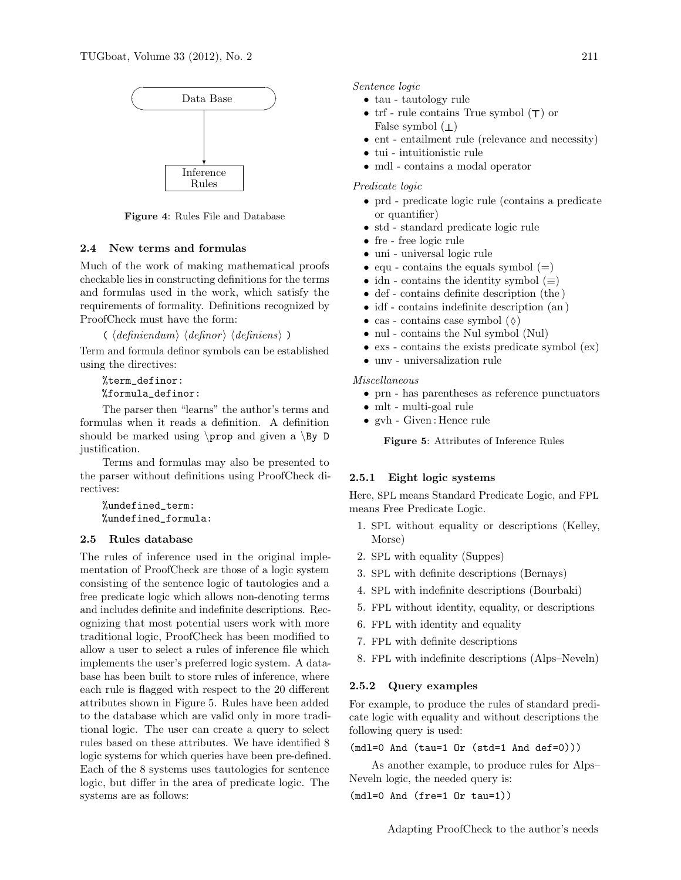

Figure 4: Rules File and Database

# 2.4 New terms and formulas

Much of the work of making mathematical proofs checkable lies in constructing definitions for the terms and formulas used in the work, which satisfy the requirements of formality. Definitions recognized by ProofCheck must have the form:

 $\langle \langle \text{definition} \rangle \rangle$  is definition in her interval (definiensignal)

Term and formula definor symbols can be established using the directives:

%term\_definor: %formula\_definor:

The parser then "learns" the author's terms and formulas when it reads a definition. A definition should be marked using  $\propto$  and given a  $\By$  D justification.

Terms and formulas may also be presented to the parser without definitions using ProofCheck directives:

%undefined\_term: %undefined\_formula:

## 2.5 Rules database

The rules of inference used in the original implementation of ProofCheck are those of a logic system consisting of the sentence logic of tautologies and a free predicate logic which allows non-denoting terms and includes definite and indefinite descriptions. Recognizing that most potential users work with more traditional logic, ProofCheck has been modified to allow a user to select a rules of inference file which implements the user's preferred logic system. A database has been built to store rules of inference, where each rule is flagged with respect to the 20 different attributes shown in Figure 5. Rules have been added to the database which are valid only in more traditional logic. The user can create a query to select rules based on these attributes. We have identified 8 logic systems for which queries have been pre-defined. Each of the 8 systems uses tautologies for sentence logic, but differ in the area of predicate logic. The systems are as follows:

Sentence logic

- tau tautology rule
- trf rule contains True symbol  $(\top)$  or False symbol  $(1)$
- ent entailment rule (relevance and necessity)
- tui intuitionistic rule
- mdl contains a modal operator

## Predicate logic

- prd predicate logic rule (contains a predicate or quantifier)
- std standard predicate logic rule
- fre free logic rule
- uni universal logic rule
- equ contains the equals symbol  $(=)$
- idn contains the identity symbol  $(\equiv)$
- def contains definite description (the )
- idf contains indefinite description (an)
- cas contains case symbol  $(\Diamond)$
- nul contains the Nul symbol (Nul)
- exs contains the exists predicate symbol (ex)
- unv universalization rule

# Miscellaneous

- prn has parentheses as reference punctuators
- mlt multi-goal rule
- gvh Given : Hence rule

Figure 5: Attributes of Inference Rules

## 2.5.1 Eight logic systems

Here, SPL means Standard Predicate Logic, and FPL means Free Predicate Logic.

- 1. SPL without equality or descriptions (Kelley, Morse)
- 2. SPL with equality (Suppes)
- 3. SPL with definite descriptions (Bernays)
- 4. SPL with indefinite descriptions (Bourbaki)
- 5. FPL without identity, equality, or descriptions
- 6. FPL with identity and equality
- 7. FPL with definite descriptions
- 8. FPL with indefinite descriptions (Alps–Neveln)

# 2.5.2 Query examples

For example, to produce the rules of standard predicate logic with equality and without descriptions the following query is used:

(mdl=0 And (tau=1 Or (std=1 And def=0)))

As another example, to produce rules for Alps– Neveln logic, the needed query is:

(mdl=0 And (fre=1 Or tau=1))